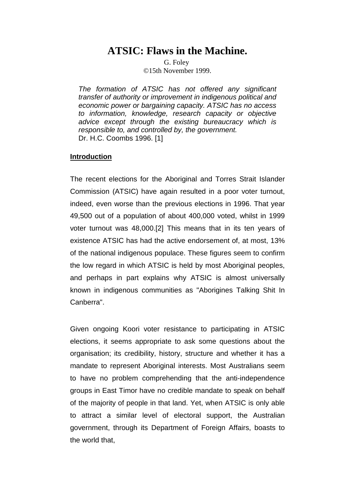# **ATSIC: Flaws in the Machine.**

G. Foley ©15th November 1999.

*The formation of ATSIC has not offered any significant transfer of authority or improvement in indigenous political and economic power or bargaining capacity. ATSIC has no access to information, knowledge, research capacity or objective advice except through the existing bureaucracy which is responsible to, and controlled by, the government.* Dr. H.C. Coombs 1996. [1]

# **Introduction**

The recent elections for the Aboriginal and Torres Strait Islander Commission (ATSIC) have again resulted in a poor voter turnout, indeed, even worse than the previous elections in 1996. That year 49,500 out of a population of about 400,000 voted, whilst in 1999 voter turnout was 48,000.[2] This means that in its ten years of existence ATSIC has had the active endorsement of, at most, 13% of the national indigenous populace. These figures seem to confirm the low regard in which ATSIC is held by most Aboriginal peoples, and perhaps in part explains why ATSIC is almost universally known in indigenous communities as "Aborigines Talking Shit In Canberra".

Given ongoing Koori voter resistance to participating in ATSIC elections, it seems appropriate to ask some questions about the organisation; its credibility, history, structure and whether it has a mandate to represent Aboriginal interests. Most Australians seem to have no problem comprehending that the anti-independence groups in East Timor have no credible mandate to speak on behalf of the majority of people in that land. Yet, when ATSIC is only able to attract a similar level of electoral support, the Australian government, through its Department of Foreign Affairs, boasts to the world that,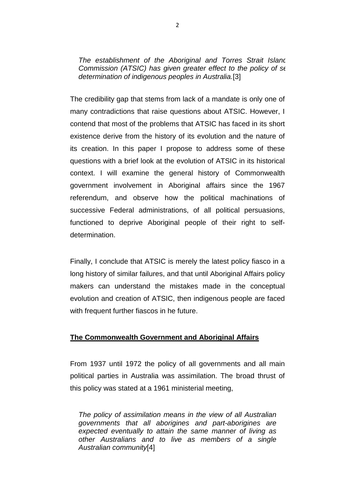*The establishment of the Aboriginal and Torres Strait Island Commission (ATSIC) has given greater effect to the policy of se determination of indigenous peoples in Australia.*[3]

The credibility gap that stems from lack of a mandate is only one of many contradictions that raise questions about ATSIC. However, I contend that most of the problems that ATSIC has faced in its short existence derive from the history of its evolution and the nature of its creation. In this paper I propose to address some of these questions with a brief look at the evolution of ATSIC in its historical context. I will examine the general history of Commonwealth government involvement in Aboriginal affairs since the 1967 referendum, and observe how the political machinations of successive Federal administrations, of all political persuasions, functioned to deprive Aboriginal people of their right to selfdetermination.

Finally, I conclude that ATSIC is merely the latest policy fiasco in a long history of similar failures, and that until Aboriginal Affairs policy makers can understand the mistakes made in the conceptual evolution and creation of ATSIC, then indigenous people are faced with frequent further fiascos in he future.

# **The Commonwealth Government and Aboriginal Affairs**

From 1937 until 1972 the policy of all governments and all main political parties in Australia was assimilation. The broad thrust of this policy was stated at a 1961 ministerial meeting,

*The policy of assimilation means in the view of all Australian governments that all aborigines and part-aborigines are expected eventually to attain the same manner of living as other Australians and to live as members of a single Australian community*[4]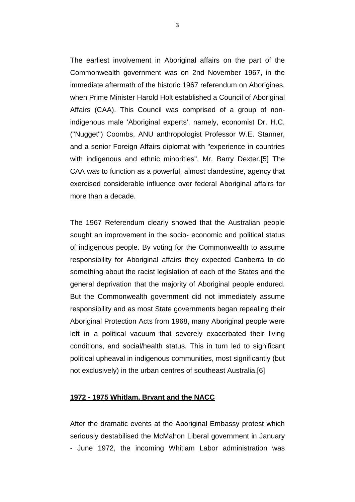The earliest involvement in Aboriginal affairs on the part of the Commonwealth government was on 2nd November 1967, in the immediate aftermath of the historic 1967 referendum on Aborigines, when Prime Minister Harold Holt established a Council of Aboriginal Affairs (CAA). This Council was comprised of a group of nonindigenous male 'Aboriginal experts', namely, economist Dr. H.C. ("Nugget") Coombs, ANU anthropologist Professor W.E. Stanner, and a senior Foreign Affairs diplomat with "experience in countries with indigenous and ethnic minorities", Mr. Barry Dexter.[5] The CAA was to function as a powerful, almost clandestine, agency that exercised considerable influence over federal Aboriginal affairs for more than a decade.

The 1967 Referendum clearly showed that the Australian people sought an improvement in the socio- economic and political status of indigenous people. By voting for the Commonwealth to assume responsibility for Aboriginal affairs they expected Canberra to do something about the racist legislation of each of the States and the general deprivation that the majority of Aboriginal people endured. But the Commonwealth government did not immediately assume responsibility and as most State governments began repealing their Aboriginal Protection Acts from 1968, many Aboriginal people were left in a political vacuum that severely exacerbated their living conditions, and social/health status. This in turn led to significant political upheaval in indigenous communities, most significantly (but not exclusively) in the urban centres of southeast Australia.[6]

#### **1972 - 1975 Whitlam, Bryant and the NACC**

After the dramatic events at the Aboriginal Embassy protest which seriously destabilised the McMahon Liberal government in January - June 1972, the incoming Whitlam Labor administration was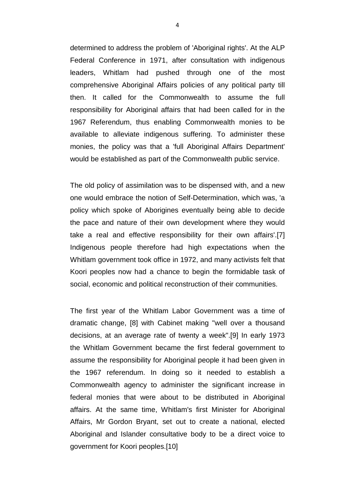determined to address the problem of 'Aboriginal rights'. At the ALP Federal Conference in 1971, after consultation with indigenous leaders, Whitlam had pushed through one of the most comprehensive Aboriginal Affairs policies of any political party till then. It called for the Commonwealth to assume the full responsibility for Aboriginal affairs that had been called for in the 1967 Referendum, thus enabling Commonwealth monies to be available to alleviate indigenous suffering. To administer these monies, the policy was that a 'full Aboriginal Affairs Department' would be established as part of the Commonwealth public service.

The old policy of assimilation was to be dispensed with, and a new one would embrace the notion of Self-Determination, which was, 'a policy which spoke of Aborigines eventually being able to decide the pace and nature of their own development where they would take a real and effective responsibility for their own affairs'.[7] Indigenous people therefore had high expectations when the Whitlam government took office in 1972, and many activists felt that Koori peoples now had a chance to begin the formidable task of social, economic and political reconstruction of their communities.

The first year of the Whitlam Labor Government was a time of dramatic change, [8] with Cabinet making "well over a thousand decisions, at an average rate of twenty a week".[9] In early 1973 the Whitlam Government became the first federal government to assume the responsibility for Aboriginal people it had been given in the 1967 referendum. In doing so it needed to establish a Commonwealth agency to administer the significant increase in federal monies that were about to be distributed in Aboriginal affairs. At the same time, Whitlam's first Minister for Aboriginal Affairs, Mr Gordon Bryant, set out to create a national, elected Aboriginal and Islander consultative body to be a direct voice to government for Koori peoples.[10]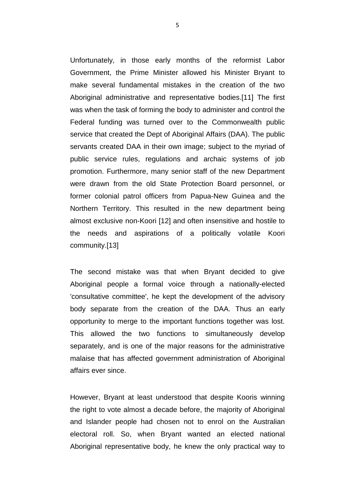Unfortunately, in those early months of the reformist Labor Government, the Prime Minister allowed his Minister Bryant to make several fundamental mistakes in the creation of the two Aboriginal administrative and representative bodies.[11] The first was when the task of forming the body to administer and control the Federal funding was turned over to the Commonwealth public service that created the Dept of Aboriginal Affairs (DAA). The public servants created DAA in their own image; subject to the myriad of public service rules, regulations and archaic systems of job promotion. Furthermore, many senior staff of the new Department were drawn from the old State Protection Board personnel, or former colonial patrol officers from Papua-New Guinea and the Northern Territory. This resulted in the new department being almost exclusive non-Koori [12] and often insensitive and hostile to the needs and aspirations of a politically volatile Koori community.[13]

The second mistake was that when Bryant decided to give Aboriginal people a formal voice through a nationally-elected 'consultative committee', he kept the development of the advisory body separate from the creation of the DAA. Thus an early opportunity to merge to the important functions together was lost. This allowed the two functions to simultaneously develop separately, and is one of the major reasons for the administrative malaise that has affected government administration of Aboriginal affairs ever since.

However, Bryant at least understood that despite Kooris winning the right to vote almost a decade before, the majority of Aboriginal and Islander people had chosen not to enrol on the Australian electoral roll. So, when Bryant wanted an elected national Aboriginal representative body, he knew the only practical way to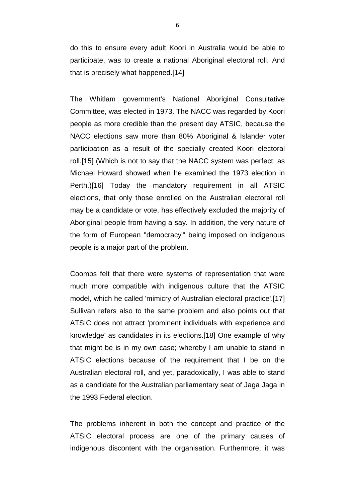do this to ensure every adult Koori in Australia would be able to participate, was to create a national Aboriginal electoral roll. And that is precisely what happened.[14]

The Whitlam government's National Aboriginal Consultative Committee, was elected in 1973. The NACC was regarded by Koori people as more credible than the present day ATSIC, because the NACC elections saw more than 80% Aboriginal & Islander voter participation as a result of the specially created Koori electoral roll.[15] (Which is not to say that the NACC system was perfect, as Michael Howard showed when he examined the 1973 election in Perth.)[16] Today the mandatory requirement in all ATSIC elections, that only those enrolled on the Australian electoral roll may be a candidate or vote, has effectively excluded the majority of Aboriginal people from having a say. In addition, the very nature of the form of European "democracy'" being imposed on indigenous people is a major part of the problem.

Coombs felt that there were systems of representation that were much more compatible with indigenous culture that the ATSIC model, which he called 'mimicry of Australian electoral practice'.[17] Sullivan refers also to the same problem and also points out that ATSIC does not attract 'prominent individuals with experience and knowledge' as candidates in its elections.[18] One example of why that might be is in my own case; whereby I am unable to stand in ATSIC elections because of the requirement that I be on the Australian electoral roll, and yet, paradoxically, I was able to stand as a candidate for the Australian parliamentary seat of Jaga Jaga in the 1993 Federal election.

The problems inherent in both the concept and practice of the ATSIC electoral process are one of the primary causes of indigenous discontent with the organisation. Furthermore, it was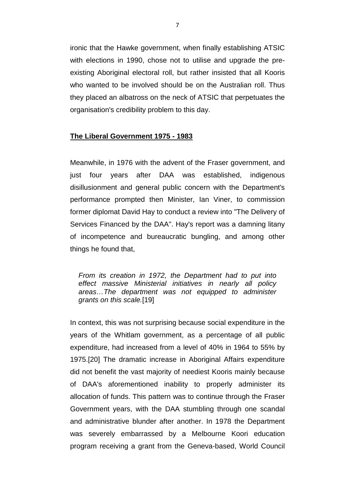ironic that the Hawke government, when finally establishing ATSIC with elections in 1990, chose not to utilise and upgrade the preexisting Aboriginal electoral roll, but rather insisted that all Kooris who wanted to be involved should be on the Australian roll. Thus they placed an albatross on the neck of ATSIC that perpetuates the organisation's credibility problem to this day.

### **The Liberal Government 1975 - 1983**

Meanwhile, in 1976 with the advent of the Fraser government, and just four years after DAA was established, indigenous disillusionment and general public concern with the Department's performance prompted then Minister, Ian Viner, to commission former diplomat David Hay to conduct a review into "The Delivery of Services Financed by the DAA". Hay's report was a damning litany of incompetence and bureaucratic bungling, and among other things he found that,

*From its creation in 1972, the Department had to put into effect massive Ministerial initiatives in nearly all policy areas…The department was not equipped to administer grants on this scale.*[19]

In context, this was not surprising because social expenditure in the years of the Whitlam government, as a percentage of all public expenditure, had increased from a level of 40% in 1964 to 55% by 1975.[20] The dramatic increase in Aboriginal Affairs expenditure did not benefit the vast majority of neediest Kooris mainly because of DAA's aforementioned inability to properly administer its allocation of funds. This pattern was to continue through the Fraser Government years, with the DAA stumbling through one scandal and administrative blunder after another. In 1978 the Department was severely embarrassed by a Melbourne Koori education program receiving a grant from the Geneva-based, World Council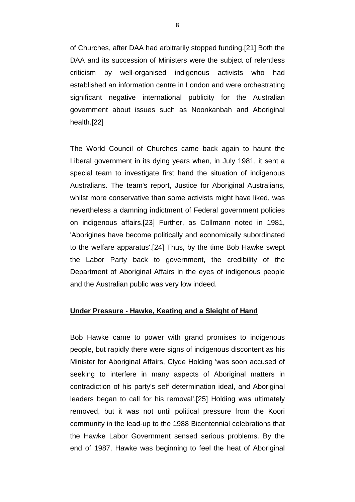of Churches, after DAA had arbitrarily stopped funding.[21] Both the DAA and its succession of Ministers were the subject of relentless criticism by well-organised indigenous activists who had established an information centre in London and were orchestrating significant negative international publicity for the Australian government about issues such as Noonkanbah and Aboriginal health.[22]

The World Council of Churches came back again to haunt the Liberal government in its dying years when, in July 1981, it sent a special team to investigate first hand the situation of indigenous Australians. The team's report, Justice for Aboriginal Australians, whilst more conservative than some activists might have liked, was nevertheless a damning indictment of Federal government policies on indigenous affairs.[23] Further, as Collmann noted in 1981, 'Aborigines have become politically and economically subordinated to the welfare apparatus'.[24] Thus, by the time Bob Hawke swept the Labor Party back to government, the credibility of the Department of Aboriginal Affairs in the eyes of indigenous people and the Australian public was very low indeed.

# **Under Pressure - Hawke, Keating and a Sleight of Hand**

Bob Hawke came to power with grand promises to indigenous people, but rapidly there were signs of indigenous discontent as his Minister for Aboriginal Affairs, Clyde Holding 'was soon accused of seeking to interfere in many aspects of Aboriginal matters in contradiction of his party's self determination ideal, and Aboriginal leaders began to call for his removal'.[25] Holding was ultimately removed, but it was not until political pressure from the Koori community in the lead-up to the 1988 Bicentennial celebrations that the Hawke Labor Government sensed serious problems. By the end of 1987, Hawke was beginning to feel the heat of Aboriginal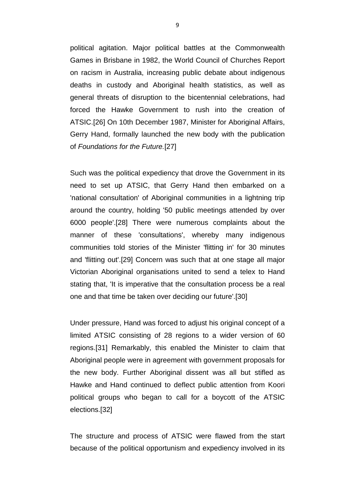political agitation. Major political battles at the Commonwealth Games in Brisbane in 1982, the World Council of Churches Report on racism in Australia, increasing public debate about indigenous deaths in custody and Aboriginal health statistics, as well as general threats of disruption to the bicentennial celebrations, had forced the Hawke Government to rush into the creation of ATSIC.[26] On 10th December 1987, Minister for Aboriginal Affairs, Gerry Hand, formally launched the new body with the publication of *Foundations for the Future.*[27]

Such was the political expediency that drove the Government in its need to set up ATSIC, that Gerry Hand then embarked on a 'national consultation' of Aboriginal communities in a lightning trip around the country, holding '50 public meetings attended by over 6000 people'.[28] There were numerous complaints about the manner of these 'consultations', whereby many indigenous communities told stories of the Minister 'flitting in' for 30 minutes and 'flitting out'.[29] Concern was such that at one stage all major Victorian Aboriginal organisations united to send a telex to Hand stating that, 'It is imperative that the consultation process be a real one and that time be taken over deciding our future'.[30]

Under pressure, Hand was forced to adjust his original concept of a limited ATSIC consisting of 28 regions to a wider version of 60 regions.[31] Remarkably, this enabled the Minister to claim that Aboriginal people were in agreement with government proposals for the new body. Further Aboriginal dissent was all but stifled as Hawke and Hand continued to deflect public attention from Koori political groups who began to call for a boycott of the ATSIC elections.[32]

The structure and process of ATSIC were flawed from the start because of the political opportunism and expediency involved in its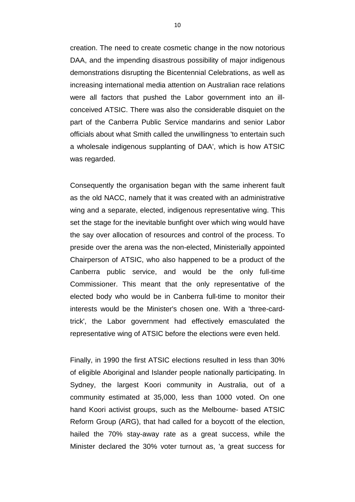creation. The need to create cosmetic change in the now notorious DAA, and the impending disastrous possibility of major indigenous demonstrations disrupting the Bicentennial Celebrations, as well as increasing international media attention on Australian race relations were all factors that pushed the Labor government into an illconceived ATSIC. There was also the considerable disquiet on the part of the Canberra Public Service mandarins and senior Labor officials about what Smith called the unwillingness 'to entertain such a wholesale indigenous supplanting of DAA', which is how ATSIC was regarded.

Consequently the organisation began with the same inherent fault as the old NACC, namely that it was created with an administrative wing and a separate, elected, indigenous representative wing. This set the stage for the inevitable bunfight over which wing would have the say over allocation of resources and control of the process. To preside over the arena was the non-elected, Ministerially appointed Chairperson of ATSIC, who also happened to be a product of the Canberra public service, and would be the only full-time Commissioner. This meant that the only representative of the elected body who would be in Canberra full-time to monitor their interests would be the Minister's chosen one. With a 'three-cardtrick', the Labor government had effectively emasculated the representative wing of ATSIC before the elections were even held.

Finally, in 1990 the first ATSIC elections resulted in less than 30% of eligible Aboriginal and Islander people nationally participating. In Sydney, the largest Koori community in Australia, out of a community estimated at 35,000, less than 1000 voted. On one hand Koori activist groups, such as the Melbourne- based ATSIC Reform Group (ARG), that had called for a boycott of the election, hailed the 70% stay-away rate as a great success, while the Minister declared the 30% voter turnout as, 'a great success for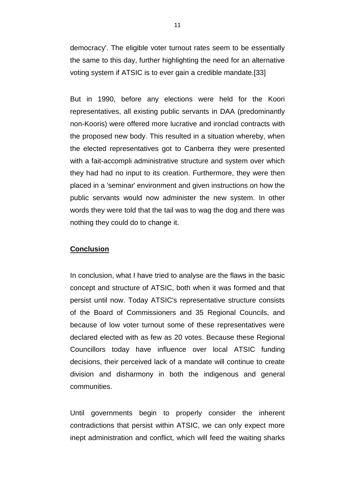democracy'. The eligible voter turnout rates seem to be essentially the same to this day, further highlighting the need for an alternative voting system if ATSIC is to ever gain a credible mandate.[33]

But in 1990, before any elections were held for the Koori representatives, all existing public servants in DAA (predominantly non-Kooris) were offered more lucrative and ironclad contracts with the proposed new body. This resulted in a situation whereby, when the elected representatives got to Canberra they were presented with a fait-accompli administrative structure and system over which they had had no input to its creation. Furthermore, they were then placed in a 'seminar' environment and given instructions on how the public servants would now administer the new system. In other words they were told that the tail was to wag the dog and there was nothing they could do to change it.

### **Conclusion**

In conclusion, what I have tried to analyse are the flaws in the basic concept and structure of ATSIC, both when it was formed and that persist until now. Today ATSIC's representative structure consists of the Board of Commissioners and 35 Regional Councils, and because of low voter turnout some of these representatives were declared elected with as few as 20 votes. Because these Regional Councillors today have influence over local ATSIC funding decisions, their perceived lack of a mandate will continue to create division and disharmony in both the indigenous and general communities.

Until governments begin to properly consider the inherent contradictions that persist within ATSIC, we can only expect more inept administration and conflict, which will feed the waiting sharks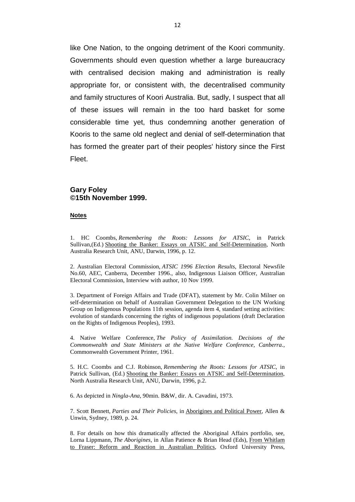like One Nation, to the ongoing detriment of the Koori community. Governments should even question whether a large bureaucracy with centralised decision making and administration is really appropriate for, or consistent with, the decentralised community and family structures of Koori Australia. But, sadly, I suspect that all of these issues will remain in the too hard basket for some considerable time yet, thus condemning another generation of Kooris to the same old neglect and denial of self-determination that has formed the greater part of their peoples' history since the First Fleet.

#### **Gary Foley ©15th November 1999.**

#### **Notes**

1. HC Coombs, *Remembering the Roots: Lessons for ATSIC*, in Patrick Sullivan,(Ed.) Shooting the Banker: Essays on ATSIC and Self-Determination, North Australia Research Unit, ANU, Darwin, 1996, p. 12.

2. Australian Electoral Commission, *ATSIC 1996 Election Results*, Electoral Newsfile No.60, AEC, Canberra, December 1996., also, Indigenous Liaison Officer, Australian Electoral Commission, Interview with author, 10 Nov 1999.

3. Department of Foreign Affairs and Trade (DFAT), statement by Mr. Colin Milner on self-determination on behalf of Australian Government Delegation to the UN Working Group on Indigenous Populations 11th session, agenda item 4, standard setting activities: evolution of standards concerning the rights of indigenous populations (draft Declaration on the Rights of Indigenous Peoples), 1993.

4. Native Welfare Conference, *The Policy of Assimilation. Decisions of the Commonwealth and State Ministers at the Native Welfare Conference, Canberra.*, Commonwealth Government Printer, 1961.

5. H.C. Coombs and C.J. Robinson, *Remembering the Roots: Lessons for ATSIC*, in Patrick Sullivan, (Ed.) Shooting the Banker: Essays on ATSIC and Self-Determination, North Australia Research Unit, ANU, Darwin, 1996, p.2.

6. As depicted in *Ningla-Ana*, 90min. B&W, dir. A. Cavadini, 1973.

7. Scott Bennett, *Parties and Their Policies*, in Aborigines and Political Power, Allen & Unwin, Sydney, 1989, p. 24.

8. For details on how this dramatically affected the Aboriginal Affairs portfolio, see, Lorna Lippmann, *The Aborigines*, in Allan Patience & Brian Head (Eds), From Whitlam to Fraser: Reform and Reaction in Australian Politics, Oxford University Press,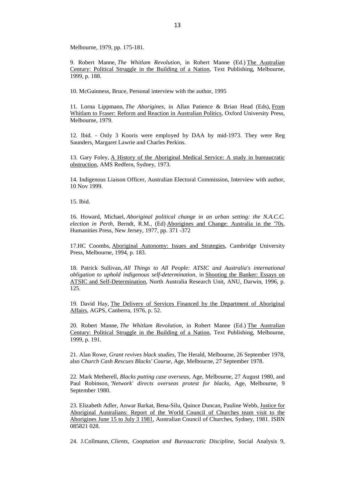Melbourne, 1979, pp. 175-181.

9. Robert Manne, *The Whitlam Revolution*, in Robert Manne (Ed.) The Australian Century: Political Struggle in the Building of a Nation, Text Publishing, Melbourne, 1999, p. 188.

10. McGuinness, Bruce, Personal interview with the author, 1995

11. Lorna Lippmann, *The Aborigines*, in Allan Patience & Brian Head (Eds), From Whitlam to Fraser: Reform and Reaction in Australian Politics, Oxford University Press, Melbourne, 1979.

12. Ibid. - Only 3 Kooris were employed by DAA by mid-1973. They were Reg Saunders, Margaret Lawrie and Charles Perkins.

13. Gary Foley, A History of the Aboriginal Medical Service: A study in bureaucratic obstruction, AMS Redfern, Sydney, 1973.

14. Indigenous Liaison Officer, Australian Electoral Commission, Interview with author, 10 Nov 1999.

15. Ibid.

16. Howard, Michael, *Aboriginal political change in an urban setting: the N.A.C.C. election in Perth*, Berndt, R.M., (Ed) Aborigines and Change: Australia in the '70s, Humanities Press, New Jersey, 1977, pp. 371 -372

17.HC Coombs, Aboriginal Autonomy: Issues and Strategies, Cambridge University Press, Melbourne, 1994, p. 183.

18. Patrick Sullivan, *All Things to All People: ATSIC and Australia's international obligation to uphold indigenous self-determination*, in Shooting the Banker: Essays on ATSIC and Self-Determination, North Australia Research Unit, ANU, Darwin, 1996, p. 125.

19. David Hay, The Delivery of Services Financed by the Department of Aboriginal Affairs, AGPS, Canberra, 1976, p. 52.

20. Robert Manne, *The Whitlam Revolution*, in Robert Manne (Ed.) The Australian Century: Political Struggle in the Building of a Nation, Text Publishing, Melbourne, 1999, p. 191.

21. Alan Rowe, *Grant revives black studies*, The Herald, Melbourne, 26 September 1978, also *Church Cash Rescues Blacks' Course*, Age, Melbourne, 27 September 1978.

22. Mark Metherell, *Blacks putting case overseas*, Age, Melbourne, 27 August 1980, and Paul Robinson, *'Network' directs overseas protest for blacks*, Age, Melbourne, 9 September 1980.

23. Elizabeth Adler, Anwar Barkat, Bena-Silu, Quince Duncan, Pauline Webb, Justice for Aboriginal Australians: Report of the World Council of Churches team visit to the Aborigines June 15 to July 3 1981, Australian Council of Churches, Sydney, 1981. ISBN 085821 028.

24. J.Collmann, *Clients, Cooptation and Bureaucratic Discipline*, Social Analysis 9,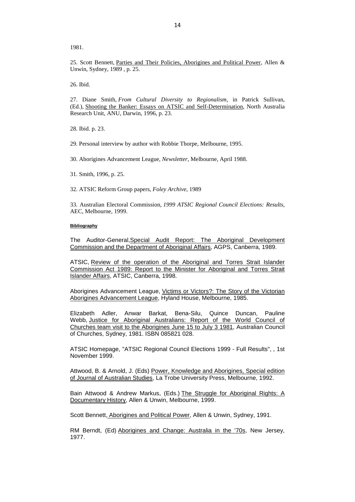1981.

25. Scott Bennett, Parties and Their Policies, Aborigines and Political Power, Allen & Unwin, Sydney, 1989 , p. 25.

26. Ibid.

27. Diane Smith, *From Cultural Diversity to Regionalism*, in Patrick Sullivan, (Ed.), Shooting the Banker: Essays on ATSIC and Self-Determination, North Australia Research Unit, ANU, Darwin, 1996, p. 23.

28. Ibid. p. 23.

29. Personal interview by author with Robbie Thorpe, Melbourne, 1995.

30. Aborigines Advancement League, *Newsletter*, Melbourne, April 1988.

31. Smith, 1996, p. 25.

32. ATSIC Reform Group papers, *Foley Archive*, 1989

33. Australian Electoral Commission, *1999 ATSIC Regional Council Elections: Results*, AEC, Melbourne, 1999.

#### **Bibliography**

The Auditor-General,Special Audit Report: The Aboriginal Development Commission and the Department of Aboriginal Affairs, AGPS, Canberra, 1989.

ATSIC, Review of the operation of the Aboriginal and Torres Strait Islander Commission Act 1989: Report to the Minister for Aboriginal and Torres Strait Islander Affairs, ATSIC, Canberra, 1998.

Aborigines Advancement League, Victims or Victors?: The Story of the Victorian Aborigines Advancement League, Hyland House, Melbourne, 1985.

Elizabeth Adler, Anwar Barkat, Bena-Silu, Quince Duncan, Pauline Webb, Justice for Aboriginal Australians: Report of the World Council of Churches team visit to the Aborigines June 15 to July 3 1981, Australian Council of Churches, Sydney, 1981. ISBN 085821 028.

ATSIC Homepage, "ATSIC Regional Council Elections 1999 - Full Results", , 1st November 1999.

Attwood, B. & Arnold, J. (Eds) Power, Knowledge and Aborigines, Special edition of Journal of Australian Studies, La Trobe University Press, Melbourne, 1992.

Bain Attwood & Andrew Markus, (Eds.) The Struggle for Aboriginal Rights: A Documentary History, Allen & Unwin, Melbourne, 1999.

Scott Bennett, Aborigines and Political Power, Allen & Unwin, Sydney, 1991.

RM Berndt, (Ed) Aborigines and Change: Australia in the '70s, New Jersey, 1977.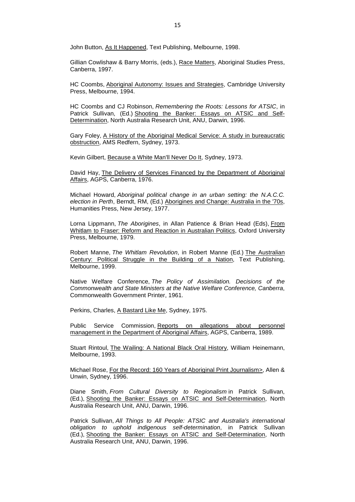John Button, As It Happened, Text Publishing, Melbourne, 1998.

Gillian Cowlishaw & Barry Morris, (eds.), Race Matters, Aboriginal Studies Press, Canberra, 1997.

HC Coombs, Aboriginal Autonomy: Issues and Strategies, Cambridge University Press, Melbourne, 1994.

HC Coombs and CJ Robinson, *Remembering the Roots: Lessons for ATSIC*, in Patrick Sullivan, (Ed.) Shooting the Banker: Essays on ATSIC and Self-Determination, North Australia Research Unit, ANU, Darwin, 1996.

Gary Foley, A History of the Aboriginal Medical Service: A study in bureaucratic obstruction, AMS Redfern, Sydney, 1973.

Kevin Gilbert, Because a White Man'll Never Do It, Sydney, 1973.

David Hay, The Delivery of Services Financed by the Department of Aboriginal Affairs, AGPS, Canberra, 1976.

Michael Howard, *Aboriginal political change in an urban setting: the N.A.C.C. election in Perth*, Berndt, RM, (Ed.) Aborigines and Change: Australia in the '70s, Humanities Press, New Jersey, 1977.

Lorna Lippmann, *The Aborigines*, in Allan Patience & Brian Head (Eds), From Whitlam to Fraser: Reform and Reaction in Australian Politics, Oxford University Press, Melbourne, 1979.

Robert Manne, *The Whitlam Revolution*, in Robert Manne (Ed.) The Australian Century: Political Struggle in the Building of a Nation, Text Publishing, Melbourne, 1999.

Native Welfare Conference, *The Policy of Assimilation. Decisions of the Commonwealth and State Ministers at the Native Welfare Conference, Canberra*, Commonwealth Government Printer, 1961.

Perkins, Charles, A Bastard Like Me, Sydney, 1975.

Public Service Commission, Reports on allegations about personnel management in the Department of Aboriginal Affairs, AGPS, Canberra, 1989.

Stuart Rintoul, The Wailing: A National Black Oral History, William Heinemann, Melbourne, 1993.

Michael Rose, For the Record: 160 Years of Aboriginal Print Journalism>, Allen & Unwin, Sydney, 1996.

Diane Smith, *From Cultural Diversity to Regionalism* in Patrick Sullivan, (Ed.), Shooting the Banker: Essays on ATSIC and Self-Determination, North Australia Research Unit, ANU, Darwin, 1996.

Patrick Sullivan, *All Things to All People: ATSIC and Australia's international obligation to uphold indigenous self-determination*, in Patrick Sullivan (Ed.), Shooting the Banker: Essays on ATSIC and Self-Determination, North Australia Research Unit, ANU, Darwin, 1996.